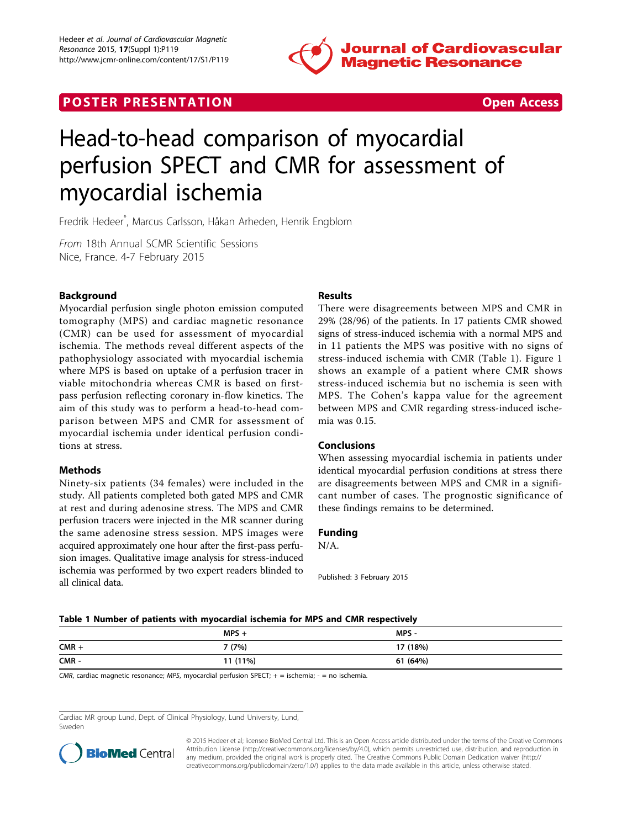

## **POSTER PRESENTATION CONSUMING THE SECOND CONSUMING THE SECOND CONSUMING THE SECOND CONSUMING THE SECOND CONSUMING THE SECOND CONSUMING THE SECOND CONSUMING THE SECOND CONSUMING THE SECOND CONSUMING THE SECOND CONSUMING**



# Head-to-head comparison of myocardial perfusion SPECT and CMR for assessment of myocardial ischemia

Fredrik Hedeer\* , Marcus Carlsson, Håkan Arheden, Henrik Engblom

From 18th Annual SCMR Scientific Sessions Nice, France. 4-7 February 2015

### Background

Myocardial perfusion single photon emission computed tomography (MPS) and cardiac magnetic resonance (CMR) can be used for assessment of myocardial ischemia. The methods reveal different aspects of the pathophysiology associated with myocardial ischemia where MPS is based on uptake of a perfusion tracer in viable mitochondria whereas CMR is based on firstpass perfusion reflecting coronary in-flow kinetics. The aim of this study was to perform a head-to-head comparison between MPS and CMR for assessment of myocardial ischemia under identical perfusion conditions at stress.

#### **Methods**

Ninety-six patients (34 females) were included in the study. All patients completed both gated MPS and CMR at rest and during adenosine stress. The MPS and CMR perfusion tracers were injected in the MR scanner during the same adenosine stress session. MPS images were acquired approximately one hour after the first-pass perfusion images. Qualitative image analysis for stress-induced ischemia was performed by two expert readers blinded to all clinical data.

### Results

There were disagreements between MPS and CMR in 29% (28/96) of the patients. In 17 patients CMR showed signs of stress-induced ischemia with a normal MPS and in 11 patients the MPS was positive with no signs of stress-induced ischemia with CMR (Table 1). Figure [1](#page-1-0) shows an example of a patient where CMR shows stress-induced ischemia but no ischemia is seen with MPS. The Cohen's kappa value for the agreement between MPS and CMR regarding stress-induced ischemia was 0.15.

#### Conclusions

When assessing myocardial ischemia in patients under identical myocardial perfusion conditions at stress there are disagreements between MPS and CMR in a significant number of cases. The prognostic significance of these findings remains to be determined.

#### Funding

N/A.

Published: 3 February 2015

#### Table 1 Number of patients with myocardial ischemia for MPS and CMR respectively

|         | $MPS +$  | MPS -    |
|---------|----------|----------|
| $CMR +$ | 7(7%)    | 17 (18%) |
| CMR-    | 11 (11%) | 61 (64%) |

 $CMR$ , cardiac magnetic resonance; MPS, myocardial perfusion SPECT;  $+$  = ischemia; - = no ischemia.

Cardiac MR group Lund, Dept. of Clinical Physiology, Lund University, Lund, Sweden



© 2015 Hedeer et al; licensee BioMed Central Ltd. This is an Open Access article distributed under the terms of the Creative Commons Attribution License [\(http://creativecommons.org/licenses/by/4.0](http://creativecommons.org/licenses/by/4.0)), which permits unrestricted use, distribution, and reproduction in any medium, provided the original work is properly cited. The Creative Commons Public Domain Dedication waiver [\(http://](http://creativecommons.org/publicdomain/zero/1.0/) [creativecommons.org/publicdomain/zero/1.0/](http://creativecommons.org/publicdomain/zero/1.0/)) applies to the data made available in this article, unless otherwise stated.